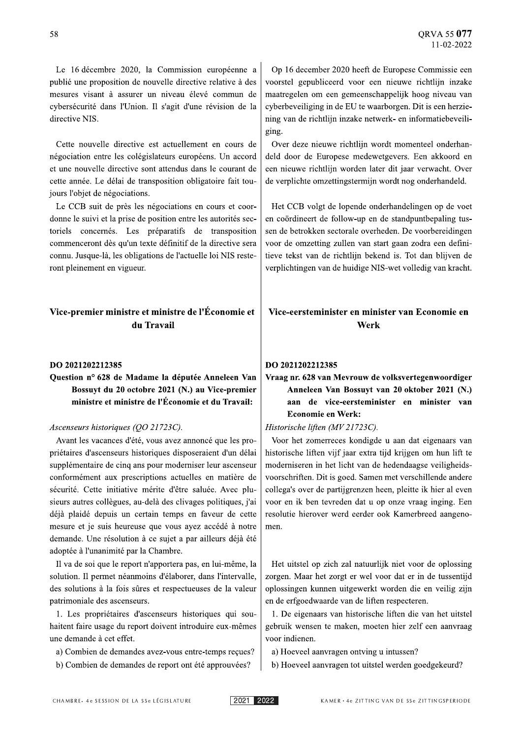#### DO 2021202212385

## Question nº 628 de Madame la députée Anneleen Van Bossuyt du 20 octobre 2021 (N.) au Vice-premier ministre et ministre de l'Économie et du Travail:

#### Ascenseurs historiques (OO 21723C).

Avant les vacances d'été, vous avez annoncé que les propriétaires d'ascenseurs historiques disposeraient d'un délai supplémentaire de cinq ans pour moderniser leur ascenseur conformément aux prescriptions actuelles en matière de sécurité. Cette initiative mérite d'être saluée. Avec plusieurs autres collègues, au-delà des clivages politiques, j'ai déjà plaidé depuis un certain temps en faveur de cette mesure et je suis heureuse que vous ayez accédé à notre demande. Une résolution à ce sujet a par ailleurs déjà été adoptée à l'unanimité par la Chambre.

Il va de soi que le report n'apportera pas, en lui-même, la solution. Il permet néanmoins d'élaborer, dans l'intervalle, des solutions à la fois sûres et respectueuses de la valeur patrimoniale des ascenseurs.

1. Les propriétaires d'ascenseurs historiques qui souhaitent faire usage du report doivent introduire eux-mêmes une demande à cet effet.

- a) Combien de demandes avez-vous entre-temps reçues?
- b) Combien de demandes de report ont été approuvées?

#### DO 2021202212385

# Vraag nr. 628 van Mevrouw de volksvertegenwoordiger Anneleen Van Bossuyt van 20 oktober 2021 (N.) aan de vice-eersteminister en minister van **Economie en Werk:**

### Historische liften (MV 21723C).

Voor het zomerreces kondigde u aan dat eigenaars van historische liften vijf jaar extra tijd krijgen om hun lift te moderniseren in het licht van de hedendaagse veiligheidsvoorschriften. Dit is goed. Samen met verschillende andere collega's over de partijgrenzen heen, pleitte ik hier al even voor en ik ben tevreden dat u op onze vraag inging. Een resolutie hierover werd eerder ook Kamerbreed aangenomen.

Het uitstel op zich zal natuurlijk niet voor de oplossing zorgen. Maar het zorgt er wel voor dat er in de tussentijd oplossingen kunnen uitgewerkt worden die en veilig zijn en de erfgoedwaarde van de liften respecteren.

1. De eigenaars van historische liften die van het uitstel gebruik wensen te maken, moeten hier zelf een aanvraag voor indienen.

a) Hoeveel aanvragen ontving u intussen?

b) Hoeveel aanvragen tot uitstel werden goedgekeurd?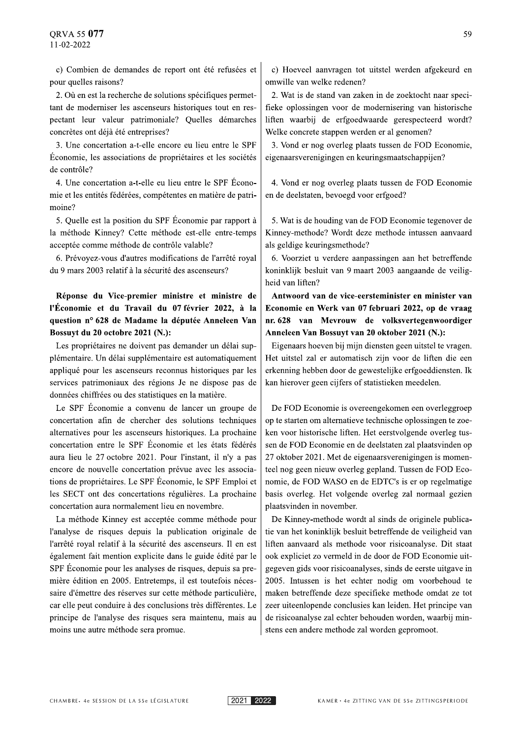c) Combien de demandes de report ont été refusées et pour quelles raisons?

2. Où en est la recherche de solutions spécifiques permettant de moderniser les ascenseurs historiques tout en respectant leur valeur patrimoniale? Quelles démarches concrètes ont déjà été entreprises?

3. Une concertation a-t-elle encore eu lieu entre le SPF Économie, les associations de propriétaires et les sociétés de contrôle?

4. Une concertation a-t-elle eu lieu entre le SPF Économie et les entités fédérées, compétentes en matière de patrimoine?

5. Quelle est la position du SPF Économie par rapport à la méthode Kinney? Cette méthode est-elle entre-temps acceptée comme méthode de contrôle valable?

6. Prévoyez-vous d'autres modifications de l'arrêté royal du 9 mars 2003 relatif à la sécurité des ascenseurs?

Réponse du Vice-premier ministre et ministre de l'Économie et du Travail du 07 février 2022, à la question nº 628 de Madame la députée Anneleen Van Bossuyt du 20 octobre 2021 (N.):

Les propriétaires ne doivent pas demander un délai supplémentaire. Un délai supplémentaire est automatiquement appliqué pour les ascenseurs reconnus historiques par les services patrimoniaux des régions Je ne dispose pas de données chiffrées ou des statistiques en la matière.

Le SPF Économie a convenu de lancer un groupe de concertation afin de chercher des solutions techniques alternatives pour les ascenseurs historiques. La prochaine concertation entre le SPF Économie et les états fédérés aura lieu le 27 octobre 2021. Pour l'instant, il n'y a pas encore de nouvelle concertation prévue avec les associations de propriétaires. Le SPF Économie, le SPF Emploi et les SECT ont des concertations régulières. La prochaine concertation aura normalement lieu en novembre.

La méthode Kinney est acceptée comme méthode pour l'analyse de risques depuis la publication originale de l'arrêté royal relatif à la sécurité des ascenseurs. Il en est également fait mention explicite dans le guide édité par le SPF Économie pour les analyses de risques, depuis sa première édition en 2005. Entretemps, il est toutefois nécessaire d'émettre des réserves sur cette méthode particulière. car elle peut conduire à des conclusions très différentes. Le principe de l'analyse des risques sera maintenu, mais au moins une autre méthode sera promue.

c) Hoeveel aanvragen tot uitstel werden afgekeurd en omwille van welke redenen?

2. Wat is de stand van zaken in de zoektocht naar specifieke oplossingen voor de modernisering van historische liften waarbij de erfgoedwaarde gerespecteerd wordt? Welke concrete stappen werden er al genomen?

3. Vond er nog overleg plaats tussen de FOD Economie, eigenaarsverenigingen en keuringsmaatschappijen?

4. Vond er nog overleg plaats tussen de FOD Economie en de deelstaten, bevoegd voor erfgoed?

5. Wat is de houding van de FOD Economie tegenover de Kinney-methode? Wordt deze methode intussen aanvaard als geldige keuringsmethode?

6. Voorziet u verdere aanpassingen aan het betreffende koninklijk besluit van 9 maart 2003 aangaande de veiligheid van liften?

Antwoord van de vice-eersteminister en minister van Economie en Werk van 07 februari 2022, op de vraag nr. 628 van Mevrouw de volksvertegenwoordiger Anneleen Van Bossuyt van 20 oktober 2021 (N.):

Eigenaars hoeven bij mijn diensten geen uitstel te vragen. Het uitstel zal er automatisch zijn voor de liften die een erkenning hebben door de gewestelijke erfgoeddiensten. Ik kan hierover geen cijfers of statistieken meedelen.

De FOD Economie is overeengekomen een overleggroep op te starten om alternatieve technische oplossingen te zoeken voor historische liften. Het eerstvolgende overleg tussen de FOD Economie en de deelstaten zal plaatsvinden op 27 oktober 2021. Met de eigenaarsverenigingen is momenteel nog geen nieuw overleg gepland. Tussen de FOD Economie, de FOD WASO en de EDTC's is er op regelmatige basis overleg. Het volgende overleg zal normaal gezien plaatsvinden in november.

De Kinney-methode wordt al sinds de originele publicatie van het koninklijk besluit betreffende de veiligheid van liften aanvaard als methode voor risicoanalyse. Dit staat ook expliciet zo vermeld in de door de FOD Economie uitgegeven gids voor risicoanalyses, sinds de eerste uitgave in 2005. Intussen is het echter nodig om voorbehoud te maken betreffende deze specifieke methode omdat ze tot zeer uiteenlopende conclusies kan leiden. Het principe van de risicoanalyse zal echter behouden worden, waarbij minstens een andere methode zal worden gepromoot.